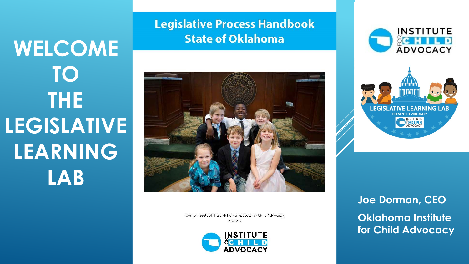# **WELCOME TO THE LEGISLATIVE LEARNING LAB**

**Legislative Process Handbook State of Oklahoma** 



Compliments of the Oklahoma Institute for Child Advocacy oica.org







**Joe Dorman, CEO Oklahoma Institute for Child Advocacy**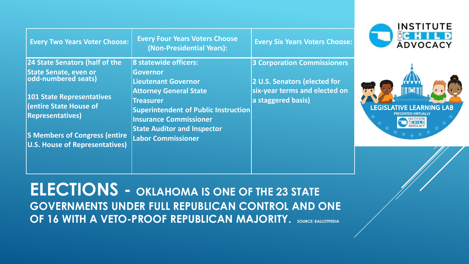| <b>Every Two Years Voter Choose:</b>                                                  | <b>Every Four Years Voters Choose</b><br>(Non-Presidential Years):                                                                                               | <b>Every Six Years Voters Choose:</b>               |  |
|---------------------------------------------------------------------------------------|------------------------------------------------------------------------------------------------------------------------------------------------------------------|-----------------------------------------------------|--|
| 24 State Senators (half of the                                                        | 8 statewide officers:<br>Governor                                                                                                                                | <b>3 Corporation Commissioners</b>                  |  |
| State Senate, even or<br> odd-numbered seats)                                         | <b>Lieutenant Governor</b>                                                                                                                                       | 2 U.S. Senators (elected for                        |  |
| <b>101 State Representatives</b><br>(entire State House of<br><b>Representatives)</b> | <b>Attorney General State</b><br><b>Treasurer</b><br>Superintendent of Public Instruction<br><b>Insurance Commissioner</b><br><b>State Auditor and Inspector</b> | six-year terms and elected on<br>a staggered basis) |  |
| <b>5 Members of Congress (entire</b><br><b>U.S. House of Representatives)</b>         | <b>Labor Commissioner</b>                                                                                                                                        |                                                     |  |
|                                                                                       |                                                                                                                                                                  |                                                     |  |





**ELECTIONS - OKLAHOMA IS ONE OF THE 23 STATE GOVERNMENTS UNDER FULL REPUBLICAN CONTROL AND ONE OF 16 WITH A VETO-PROOF REPUBLICAN MAJORITY. SOURCE: BALLOTPEDIA**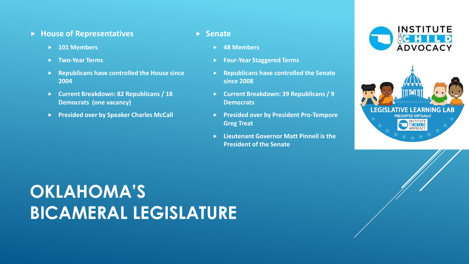#### **House of Representatives**

- **101 Members**
- **Two-Year Terms**
- **Republicans have controlled the House since 2004**
- **Current Breakdown: 82 Republicans / 18 Democrats (one vacancy)**
- **Presided over by Speaker Charles McCall**

#### **Senate**

- **48 Members**
- **Four-Year Staggered Terms**
- **Republicans have controlled the Senate since 2008**
- **Current Breakdown: 39 Republicans / 9 Democrats**
- **Presided over by President Pro-Tempore Greg Treat**
- **Lieutenant Governor Matt Pinnell is the President of the Senate**





### **OKLAHOMA'S BICAMERAL LEGISLATURE**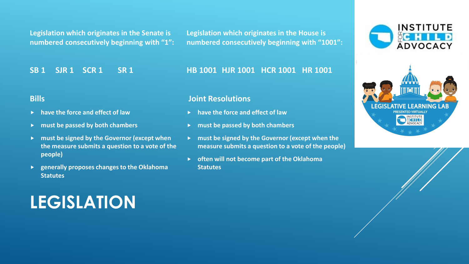**Legislation which originates in the Senate is numbered consecutively beginning with "1":** **Legislation which originates in the House is numbered consecutively beginning with "1001":**

**HB 1001 HJR 1001 HCR 1001 HR 1001**

**SB 1 SJR 1 SCR 1 SR 1**

**have the force and effect of law**

**must be passed by both chambers**

**must be signed by the Governor (except when** 

**generally proposes changes to the Oklahoma** 

**the measure submits a question to a vote of the** 

**Bills**

**people)**

**Statutes**

#### **Joint Resolutions**

- **have the force and effect of law**
- **must be passed by both chambers**
- **F** must be signed by the Governor (except when the **measure submits a question to a vote of the people)**
- **often will not become part of the Oklahoma Statutes**





### **LEGISLATION**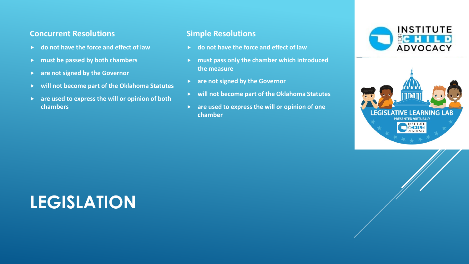#### **Concurrent Resolutions**

- **do not have the force and effect of law**
- **must be passed by both chambers**
- **are not signed by the Governor**
- **will not become part of the Oklahoma Statutes**
- **are used to express the will or opinion of both chambers**

#### **Simple Resolutions**

- **do not have the force and effect of law**
- **must pass only the chamber which introduced the measure**
- **are not signed by the Governor**
- **will not become part of the Oklahoma Statutes**
- **are used to express the will or opinion of one chamber**





### **LEGISLATION**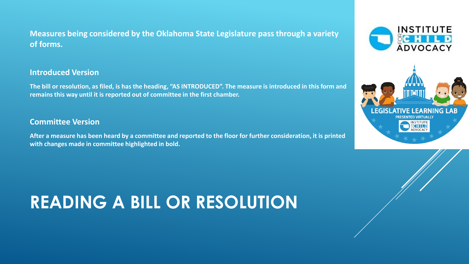### **Measures being considered by the Oklahoma State Legislature pass through a variety of forms.**

#### **Introduced Version**

**The bill or resolution, as filed, is has the heading, "AS INTRODUCED". The measure is introduced in this form and remains this way until it is reported out of committee in the first chamber.**

#### **Committee Version**

**After a measure has been heard by a committee and reported to the floor for further consideration, it is printed with changes made in committee highlighted in bold.**

### **READING A BILL OR RESOLUTION**

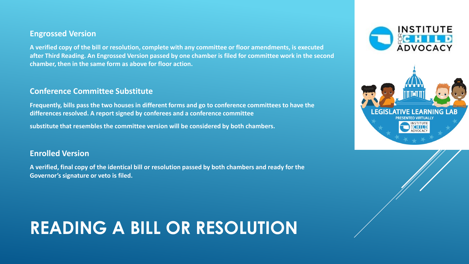#### **Engrossed Version**

**A verified copy of the bill or resolution, complete with any committee or floor amendments, is executed after Third Reading. An Engrossed Version passed by one chamber is filed for committee work in the second chamber, then in the same form as above for floor action.**

#### **Conference Committee Substitute**

**Frequently, bills pass the two houses in different forms and go to conference committees to have the differences resolved. A report signed by conferees and a conference committee**

**substitute that resembles the committee version will be considered by both chambers.**

#### **Enrolled Version**

**A verified, final copy of the identical bill or resolution passed by both chambers and ready for the Governor's signature or veto is filed.**

## **READING A BILL OR RESOLUTION**



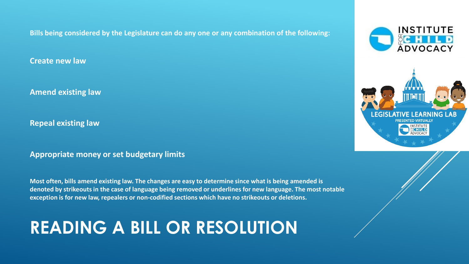**Bills being considered by the Legislature can do any one or any combination of the following:**

**Create new law**

**Amend existing law**

**Repeal existing law**

**Appropriate money or set budgetary limits**

**Most often, bills amend existing law. The changes are easy to determine since what is being amended is denoted by strikeouts in the case of language being removed or underlines for new language. The most notable exception is for new law, repealers or non-codified sections which have no strikeouts or deletions.**

### **READING A BILL OR RESOLUTION**



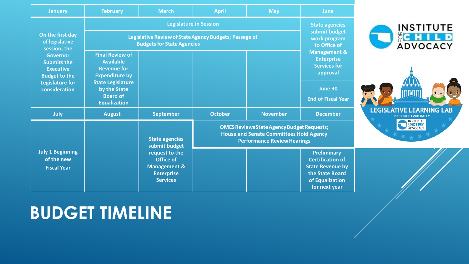| <b>January</b>                                                                                                               | February                                                                                                                                                                        | <b>March</b>                                                                                          | <b>April</b>                                                                                                                              | <b>May</b>                                                                      | <b>June</b>                                                                                                                     |                                                               |
|------------------------------------------------------------------------------------------------------------------------------|---------------------------------------------------------------------------------------------------------------------------------------------------------------------------------|-------------------------------------------------------------------------------------------------------|-------------------------------------------------------------------------------------------------------------------------------------------|---------------------------------------------------------------------------------|---------------------------------------------------------------------------------------------------------------------------------|---------------------------------------------------------------|
|                                                                                                                              | <b>Legislature in Session</b>                                                                                                                                                   |                                                                                                       |                                                                                                                                           | <b>State agencies</b><br>submit budget<br>work program<br>to Office of          | <b>INSTITUTE</b><br>CC H I L D<br>ADVOCACY                                                                                      |                                                               |
| On the first day<br>of legislative<br>session, the                                                                           | Legislative Review of State Agency Budgets; Passage of<br><b>Budgets for State Agencies</b>                                                                                     |                                                                                                       |                                                                                                                                           |                                                                                 |                                                                                                                                 |                                                               |
| <b>Governor</b><br><b>Submits the</b><br><b>Executive</b><br><b>Budget to the</b><br><b>Legislature for</b><br>consideration | <b>Final Review of</b><br><b>Available</b><br><b>Revenue for</b><br><b>Expenditure by</b><br><b>State Legislature</b><br>by the State<br><b>Board of</b><br><b>Equalization</b> |                                                                                                       |                                                                                                                                           | <b>Management &amp;</b><br><b>Enterprise</b><br><b>Services for</b><br>approval |                                                                                                                                 |                                                               |
|                                                                                                                              |                                                                                                                                                                                 |                                                                                                       |                                                                                                                                           |                                                                                 | June 30<br><b>End of Fiscal Year</b>                                                                                            |                                                               |
| July                                                                                                                         | <b>August</b>                                                                                                                                                                   | <b>September</b>                                                                                      | <b>October</b>                                                                                                                            | <b>November</b>                                                                 | <b>December</b>                                                                                                                 | <b>LEGISLATIVE LEARNING LAB</b><br><b>PRESENTED VIRTUALLY</b> |
|                                                                                                                              |                                                                                                                                                                                 | <b>State agencies</b><br>submit budget                                                                | <b>OMES Reviews State Agency Budget Requests;</b><br><b>House and Senate Committees Hold Agency</b><br><b>Performance Review Hearings</b> |                                                                                 |                                                                                                                                 | <b>INSTITUTE</b><br><b>ADVOCACY</b>                           |
| <b>July 1 Beginning</b><br>of the new<br><b>Fiscal Year</b>                                                                  |                                                                                                                                                                                 | request to the<br><b>Office of</b><br><b>Management &amp;</b><br><b>Enterprise</b><br><b>Services</b> |                                                                                                                                           |                                                                                 | <b>Preliminary</b><br><b>Certification of</b><br><b>State Revenue by</b><br>the State Board<br>of Equalization<br>for next year |                                                               |

### **BUDGET TIMELINE**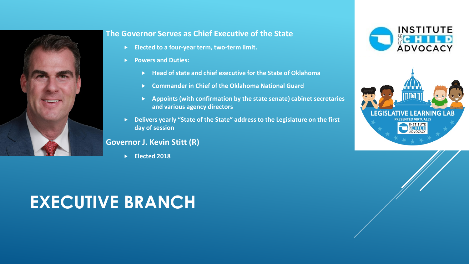

#### **The Governor Serves as Chief Executive of the State**

- **Elected to a four-year term, two-term limit.**
- **Powers and Duties:**
	- **Head of state and chief executive for the State of Oklahoma**
	- **Commander in Chief of the Oklahoma National Guard**
	- **Appoints (with confirmation by the state senate) cabinet secretaries and various agency directors**
- **Delivers yearly "State of the State" address to the Legislature on the first day of session**

#### **Governor J. Kevin Stitt (R)**

**Elected 2018** 

### **EXECUTIVE BRANCH**



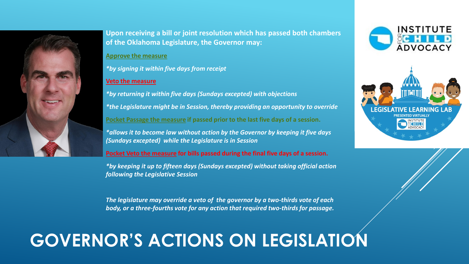

**Upon receiving a bill or joint resolution which has passed both chambers of the Oklahoma Legislature, the Governor may:**

#### **Approve the measure**

*\*by signing it within five days from receipt*

#### **Veto the measure**

*\*by returning it within five days (Sundays excepted) with objections \*the Legislature might be in Session, thereby providing an opportunity to override* **Pocket Passage the measure if passed prior to the last five days of a session.**  *\*allows it to become law without action by the Governor by keeping it five days (Sundays excepted) while the Legislature is in Session*

**Pocket Veto the measure for bills passed during the final five days of a session.**

*\*by keeping it up to fifteen days (Sundays excepted) without taking official action following the Legislative Session*

*The legislature may override a veto of the governor by a two-thirds vote of each body, or a three-fourths vote for any action that required two-thirds for passage.*

### **GOVERNOR'S ACTIONS ON LEGISLATION**



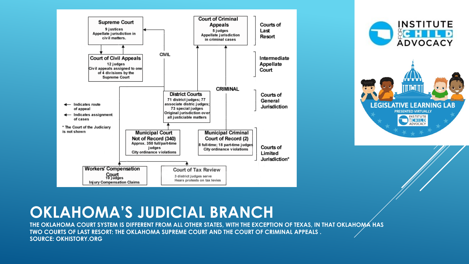



### **OKLAHOMA'S JUDICIAL BRANCH**

**THE OKLAHOMA COURT SYSTEM IS DIFFERENT FROM ALL OTHER STATES, WITH THE EXCEPTION OF TEXAS, IN THAT OKLAHOMA HAS TWO COURTS OF LAST RESORT: THE OKLAHOMA SUPREME COURT AND THE COURT OF CRIMINAL APPEALS . SOURCE: OKHISTORY.ORG**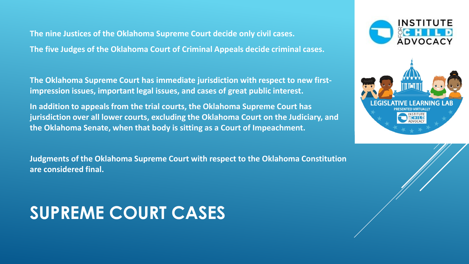**The nine Justices of the Oklahoma Supreme Court decide only civil cases. The five Judges of the Oklahoma Court of Criminal Appeals decide criminal cases.** 

**The Oklahoma Supreme Court has immediate jurisdiction with respect to new firstimpression issues, important legal issues, and cases of great public interest.** 

**In addition to appeals from the trial courts, the Oklahoma Supreme Court has jurisdiction over all lower courts, excluding the Oklahoma Court on the Judiciary, and the Oklahoma Senate, when that body is sitting as a Court of Impeachment.** 

**Judgments of the Oklahoma Supreme Court with respect to the Oklahoma Constitution are considered final.**

### **SUPREME COURT CASES**